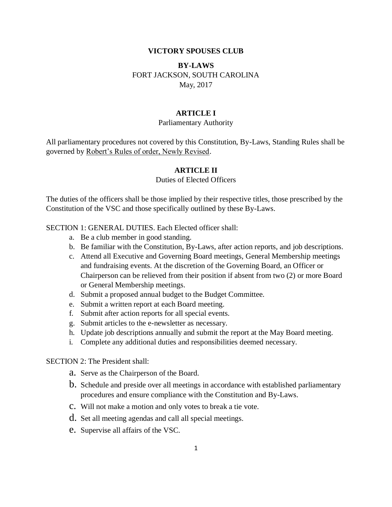#### **VICTORY SPOUSES CLUB**

# **BY-LAWS** FORT JACKSON, SOUTH CAROLINA May, 2017

### **ARTICLE I**

### Parliamentary Authority

All parliamentary procedures not covered by this Constitution, By-Laws, Standing Rules shall be governed by Robert's Rules of order, Newly Revised.

### **ARTICLE II**

### Duties of Elected Officers

The duties of the officers shall be those implied by their respective titles, those prescribed by the Constitution of the VSC and those specifically outlined by these By-Laws.

#### SECTION 1: GENERAL DUTIES. Each Elected officer shall:

- a. Be a club member in good standing.
- b. Be familiar with the Constitution, By-Laws, after action reports, and job descriptions.
- c. Attend all Executive and Governing Board meetings, General Membership meetings and fundraising events. At the discretion of the Governing Board, an Officer or Chairperson can be relieved from their position if absent from two (2) or more Board or General Membership meetings.
- d. Submit a proposed annual budget to the Budget Committee.
- e. Submit a written report at each Board meeting.
- f. Submit after action reports for all special events.
- g. Submit articles to the e-newsletter as necessary.
- h. Update job descriptions annually and submit the report at the May Board meeting.
- i. Complete any additional duties and responsibilities deemed necessary.

#### SECTION 2: The President shall:

- a. Serve as the Chairperson of the Board.
- b. Schedule and preside over all meetings in accordance with established parliamentary procedures and ensure compliance with the Constitution and By-Laws.
- c. Will not make a motion and only votes to break a tie vote.
- d. Set all meeting agendas and call all special meetings.
- e. Supervise all affairs of the VSC.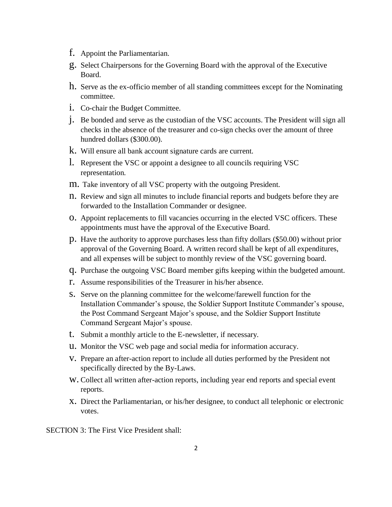- f. Appoint the Parliamentarian.
- g. Select Chairpersons for the Governing Board with the approval of the Executive Board.
- h. Serve as the ex-officio member of all standing committees except for the Nominating committee.
- i. Co-chair the Budget Committee.
- j. Be bonded and serve as the custodian of the VSC accounts. The President will sign all checks in the absence of the treasurer and co-sign checks over the amount of three hundred dollars (\$300.00).
- k. Will ensure all bank account signature cards are current.
- l. Represent the VSC or appoint a designee to all councils requiring VSC representation.
- m. Take inventory of all VSC property with the outgoing President.
- n. Review and sign all minutes to include financial reports and budgets before they are forwarded to the Installation Commander or designee.
- o. Appoint replacements to fill vacancies occurring in the elected VSC officers. These appointments must have the approval of the Executive Board.
- p. Have the authority to approve purchases less than fifty dollars (\$50.00) without prior approval of the Governing Board. A written record shall be kept of all expenditures, and all expenses will be subject to monthly review of the VSC governing board.
- q. Purchase the outgoing VSC Board member gifts keeping within the budgeted amount.
- r. Assume responsibilities of the Treasurer in his/her absence.
- s. Serve on the planning committee for the welcome/farewell function for the Installation Commander's spouse, the Soldier Support Institute Commander's spouse, the Post Command Sergeant Major's spouse, and the Soldier Support Institute Command Sergeant Major's spouse.
- t. Submit a monthly article to the E-newsletter, if necessary.
- u. Monitor the VSC web page and social media for information accuracy.
- v. Prepare an after-action report to include all duties performed by the President not specifically directed by the By-Laws.
- w. Collect all written after-action reports, including year end reports and special event reports.
- x. Direct the Parliamentarian, or his/her designee, to conduct all telephonic or electronic votes.

SECTION 3: The First Vice President shall: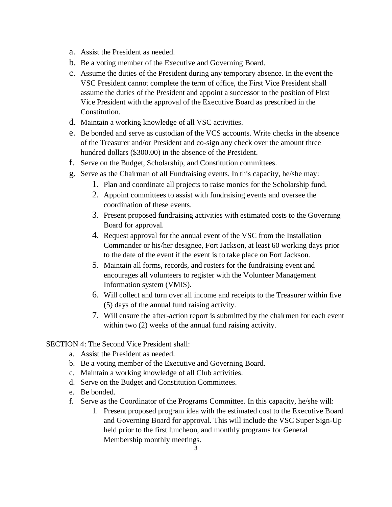- a. Assist the President as needed.
- b. Be a voting member of the Executive and Governing Board.
- c. Assume the duties of the President during any temporary absence. In the event the VSC President cannot complete the term of office, the First Vice President shall assume the duties of the President and appoint a successor to the position of First Vice President with the approval of the Executive Board as prescribed in the Constitution.
- d. Maintain a working knowledge of all VSC activities.
- e. Be bonded and serve as custodian of the VCS accounts. Write checks in the absence of the Treasurer and/or President and co-sign any check over the amount three hundred dollars (\$300.00) in the absence of the President.
- f. Serve on the Budget, Scholarship, and Constitution committees.
- g. Serve as the Chairman of all Fundraising events. In this capacity, he/she may:
	- 1. Plan and coordinate all projects to raise monies for the Scholarship fund.
	- 2. Appoint committees to assist with fundraising events and oversee the coordination of these events.
	- 3. Present proposed fundraising activities with estimated costs to the Governing Board for approval.
	- 4. Request approval for the annual event of the VSC from the Installation Commander or his/her designee, Fort Jackson, at least 60 working days prior to the date of the event if the event is to take place on Fort Jackson.
	- 5. Maintain all forms, records, and rosters for the fundraising event and encourages all volunteers to register with the Volunteer Management Information system (VMIS).
	- 6. Will collect and turn over all income and receipts to the Treasurer within five (5) days of the annual fund raising activity.
	- 7. Will ensure the after-action report is submitted by the chairmen for each event within two  $(2)$  weeks of the annual fund raising activity.

SECTION 4: The Second Vice President shall:

- a. Assist the President as needed.
- b. Be a voting member of the Executive and Governing Board.
- c. Maintain a working knowledge of all Club activities.
- d. Serve on the Budget and Constitution Committees.
- e. Be bonded.
- f. Serve as the Coordinator of the Programs Committee. In this capacity, he/she will:
	- 1. Present proposed program idea with the estimated cost to the Executive Board and Governing Board for approval. This will include the VSC Super Sign-Up held prior to the first luncheon, and monthly programs for General Membership monthly meetings.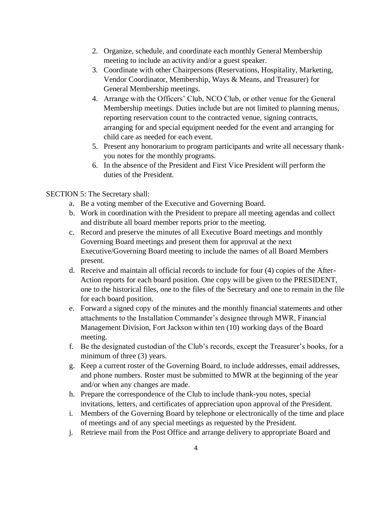- 2. Organize, schedule, and coordinate each monthly General Membership meeting to include an activity and/or a guest speaker.
- 3. Coordinate with other Chairpersons (Reservations, Hospitality, Marketing, Vendor Coordinator, Membership, Ways & Means, and Treasurer) for General Membership meetings.
- 4. Arrange with the Officers' Club, NCO Club, or other venue for the General Membership meetings. Duties include but are not limited to planning menus, reporting reservation count to the contracted venue, signing contracts, arranging for and special equipment needed for the event and arranging for child care as needed for each event.
- 5. Present any honorarium to program participants and write all necessary thankyou notes for the monthly programs.
- 6. In the absence of the President and First Vice President will perform the duties of the President.

SECTION 5: The Secretary shall:

- a. Be a voting member of the Executive and Governing Board.
- b. Work in coordination with the President to prepare all meeting agendas and collect and distribute all board member reports prior to the meeting.
- c. Record and preserve the minutes of all Executive Board meetings and monthly Governing Board meetings and present them for approval at the next Executive/Governing Board meeting to include the names of all Board Members present.
- d. Receive and maintain all official records to include for four (4) copies of the After-Action reports for each board position. One copy will be given to the PRESIDENT, one to the historical files, one to the files of the Secretary and one to remain in the file for each board position.
- e. Forward a signed copy of the minutes and the monthly financial statements and other attachments to the Installation Commander's designee through MWR, Financial Management Division, Fort Jackson within ten (10) working days of the Board meeting.
- f. Be the designated custodian of the Club's records, except the Treasurer's books, for a minimum of three (3) years.
- g. Keep a current roster of the Governing Board, to include addresses, email addresses, and phone numbers. Roster must be submitted to MWR at the beginning of the year and/or when any changes are made.
- h. Prepare the correspondence of the Club to include thank-you notes, special invitations, letters, and certificates of appreciation upon approval of the President.
- i. Members of the Governing Board by telephone or electronically of the time and place of meetings and of any special meetings as requested by the President.
- j. Retrieve mail from the Post Office and arrange delivery to appropriate Board and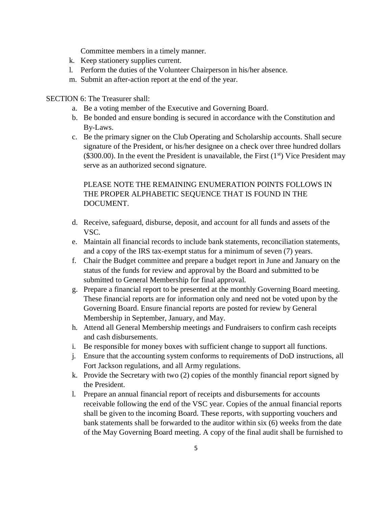Committee members in a timely manner.

- k. Keep stationery supplies current.
- l. Perform the duties of the Volunteer Chairperson in his/her absence.
- m. Submit an after-action report at the end of the year.

SECTION 6: The Treasurer shall:

- a. Be a voting member of the Executive and Governing Board.
- b. Be bonded and ensure bonding is secured in accordance with the Constitution and By-Laws.
- c. Be the primary signer on the Club Operating and Scholarship accounts. Shall secure signature of the President, or his/her designee on a check over three hundred dollars (\$300.00). In the event the President is unavailable, the First  $(1<sup>st</sup>)$  Vice President may serve as an authorized second signature.

# PLEASE NOTE THE REMAINING ENUMERATION POINTS FOLLOWS IN THE PROPER ALPHABETIC SEQUENCE THAT IS FOUND IN THE DOCUMENT.

- d. Receive, safeguard, disburse, deposit, and account for all funds and assets of the VSC.
- e. Maintain all financial records to include bank statements, reconciliation statements, and a copy of the IRS tax-exempt status for a minimum of seven (7) years.
- f. Chair the Budget committee and prepare a budget report in June and January on the status of the funds for review and approval by the Board and submitted to be submitted to General Membership for final approval.
- g. Prepare a financial report to be presented at the monthly Governing Board meeting. These financial reports are for information only and need not be voted upon by the Governing Board. Ensure financial reports are posted for review by General Membership in September, January, and May.
- h. Attend all General Membership meetings and Fundraisers to confirm cash receipts and cash disbursements.
- i. Be responsible for money boxes with sufficient change to support all functions.
- j. Ensure that the accounting system conforms to requirements of DoD instructions, all Fort Jackson regulations, and all Army regulations.
- k. Provide the Secretary with two (2) copies of the monthly financial report signed by the President.
- l. Prepare an annual financial report of receipts and disbursements for accounts receivable following the end of the VSC year. Copies of the annual financial reports shall be given to the incoming Board. These reports, with supporting vouchers and bank statements shall be forwarded to the auditor within six (6) weeks from the date of the May Governing Board meeting. A copy of the final audit shall be furnished to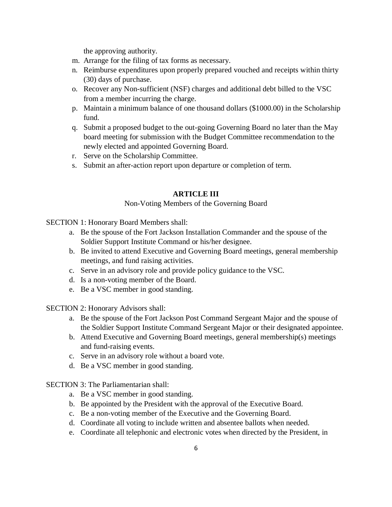the approving authority.

- m. Arrange for the filing of tax forms as necessary.
- n. Reimburse expenditures upon properly prepared vouched and receipts within thirty (30) days of purchase.
- o. Recover any Non-sufficient (NSF) charges and additional debt billed to the VSC from a member incurring the charge.
- p. Maintain a minimum balance of one thousand dollars (\$1000.00) in the Scholarship fund.
- q. Submit a proposed budget to the out-going Governing Board no later than the May board meeting for submission with the Budget Committee recommendation to the newly elected and appointed Governing Board.
- r. Serve on the Scholarship Committee.
- s. Submit an after-action report upon departure or completion of term.

## **ARTICLE III**

#### Non-Voting Members of the Governing Board

SECTION 1: Honorary Board Members shall:

- a. Be the spouse of the Fort Jackson Installation Commander and the spouse of the Soldier Support Institute Command or his/her designee.
- b. Be invited to attend Executive and Governing Board meetings, general membership meetings, and fund raising activities.
- c. Serve in an advisory role and provide policy guidance to the VSC.
- d. Is a non-voting member of the Board.
- e. Be a VSC member in good standing.

SECTION 2: Honorary Advisors shall:

- a. Be the spouse of the Fort Jackson Post Command Sergeant Major and the spouse of the Soldier Support Institute Command Sergeant Major or their designated appointee.
- b. Attend Executive and Governing Board meetings, general membership(s) meetings and fund-raising events.
- c. Serve in an advisory role without a board vote.
- d. Be a VSC member in good standing.

### SECTION 3: The Parliamentarian shall:

- a. Be a VSC member in good standing.
- b. Be appointed by the President with the approval of the Executive Board.
- c. Be a non-voting member of the Executive and the Governing Board.
- d. Coordinate all voting to include written and absentee ballots when needed.
- e. Coordinate all telephonic and electronic votes when directed by the President, in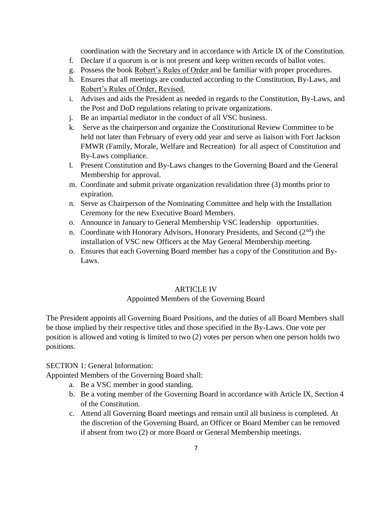coordination with the Secretary and in accordance with Article IX of the Constitution.

- f. Declare if a quorum is or is not present and keep written records of ballot votes.
- g. Possess the book Robert's Rules of Order and be familiar with proper procedures.
- h. Ensures that all meetings are conducted according to the Constitution, By-Laws, and Robert's Rules of Order, Revised.
- i. Advises and aids the President as needed in regards to the Constitution, By-Laws, and the Post and DoD regulations relating to private organizations.
- j. Be an impartial mediator in the conduct of all VSC business.
- k. Serve as the chairperson and organize the Constitutional Review Committee to be held not later than February of every odd year and serve as liaison with Fort Jackson FMWR (Family, Morale, Welfare and Recreation) for all aspect of Constitution and By-Laws compliance.
- l. Present Constitution and By-Laws changes to the Governing Board and the General Membership for approval.
- m. Coordinate and submit private organization revalidation three (3) months prior to expiration.
- n. Serve as Chairperson of the Nominating Committee and help with the Installation Ceremony for the new Executive Board Members.
- o. Announce in January to General Membership VSC leadership opportunities.
- n. Coordinate with Honorary Advisors, Honorary Presidents, and Second (2<sup>nd</sup>) the installation of VSC new Officers at the May General Membership meeting.
- o. Ensures that each Governing Board member has a copy of the Constitution and By-Laws.

### ARTICLE IV

### Appointed Members of the Governing Board

The President appoints all Governing Board Positions, and the duties of all Board Members shall be those implied by their respective titles and those specified in the By-Laws. One vote per position is allowed and voting is limited to two (2) votes per person when one person holds two positions.

### SECTION 1: General Information:

Appointed Members of the Governing Board shall:

- a. Be a VSC member in good standing.
- b. Be a voting member of the Governing Board in accordance with Article IX, Section 4 of the Constitution.
- c. Attend all Governing Board meetings and remain until all business is completed. At the discretion of the Governing Board, an Officer or Board Member can be removed if absent from two (2) or more Board or General Membership meetings.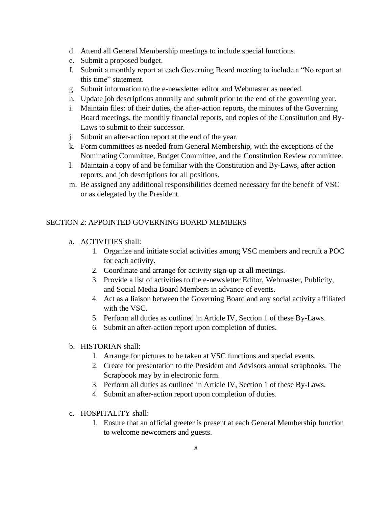- d. Attend all General Membership meetings to include special functions.
- e. Submit a proposed budget.
- f. Submit a monthly report at each Governing Board meeting to include a "No report at this time" statement.
- g. Submit information to the e-newsletter editor and Webmaster as needed.
- h. Update job descriptions annually and submit prior to the end of the governing year.
- i. Maintain files: of their duties, the after-action reports, the minutes of the Governing Board meetings, the monthly financial reports, and copies of the Constitution and By-Laws to submit to their successor.
- j. Submit an after-action report at the end of the year.
- k. Form committees as needed from General Membership, with the exceptions of the Nominating Committee, Budget Committee, and the Constitution Review committee.
- l. Maintain a copy of and be familiar with the Constitution and By-Laws, after action reports, and job descriptions for all positions.
- m. Be assigned any additional responsibilities deemed necessary for the benefit of VSC or as delegated by the President.

# SECTION 2: APPOINTED GOVERNING BOARD MEMBERS

- a. ACTIVITIES shall:
	- 1. Organize and initiate social activities among VSC members and recruit a POC for each activity.
	- 2. Coordinate and arrange for activity sign-up at all meetings.
	- 3. Provide a list of activities to the e-newsletter Editor, Webmaster, Publicity, and Social Media Board Members in advance of events.
	- 4. Act as a liaison between the Governing Board and any social activity affiliated with the VSC.
	- 5. Perform all duties as outlined in Article IV, Section 1 of these By-Laws.
	- 6. Submit an after-action report upon completion of duties.

### b. HISTORIAN shall:

- 1. Arrange for pictures to be taken at VSC functions and special events.
- 2. Create for presentation to the President and Advisors annual scrapbooks. The Scrapbook may by in electronic form.
- 3. Perform all duties as outlined in Article IV, Section 1 of these By-Laws.
- 4. Submit an after-action report upon completion of duties.
- c. HOSPITALITY shall:
	- 1. Ensure that an official greeter is present at each General Membership function to welcome newcomers and guests.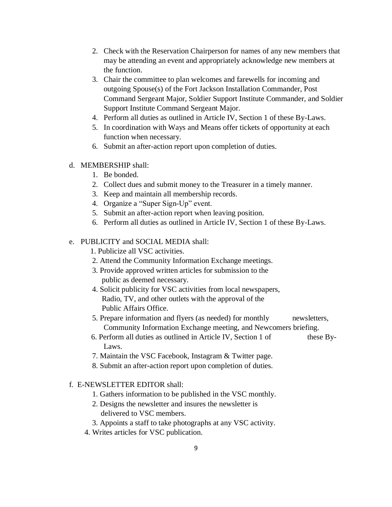- 2. Check with the Reservation Chairperson for names of any new members that may be attending an event and appropriately acknowledge new members at the function.
- 3. Chair the committee to plan welcomes and farewells for incoming and outgoing Spouse(s) of the Fort Jackson Installation Commander, Post Command Sergeant Major, Soldier Support Institute Commander, and Soldier Support Institute Command Sergeant Major.
- 4. Perform all duties as outlined in Article IV, Section 1 of these By-Laws.
- 5. In coordination with Ways and Means offer tickets of opportunity at each function when necessary.
- 6. Submit an after-action report upon completion of duties.
- d. MEMBERSHIP shall:
	- 1. Be bonded.
	- 2. Collect dues and submit money to the Treasurer in a timely manner.
	- 3. Keep and maintain all membership records.
	- 4. Organize a "Super Sign-Up" event.
	- 5. Submit an after-action report when leaving position.
	- 6. Perform all duties as outlined in Article IV, Section 1 of these By-Laws.

### e. PUBLICITY and SOCIAL MEDIA shall:

- 1. Publicize all VSC activities.
- 2. Attend the Community Information Exchange meetings.
- 3. Provide approved written articles for submission to the public as deemed necessary.
- 4. Solicit publicity for VSC activities from local newspapers, Radio, TV, and other outlets with the approval of the Public Affairs Office.
- 5. Prepare information and flyers (as needed) for monthly newsletters, Community Information Exchange meeting, and Newcomers briefing.
- 6. Perform all duties as outlined in Article IV, Section 1 of these By-Laws.
- 7. Maintain the VSC Facebook, Instagram & Twitter page.
- 8. Submit an after-action report upon completion of duties.

### f. E-NEWSLETTER EDITOR shall:

- 1. Gathers information to be published in the VSC monthly.
- 2. Designs the newsletter and insures the newsletter is delivered to VSC members.
- 3. Appoints a staff to take photographs at any VSC activity.
- 4. Writes articles for VSC publication.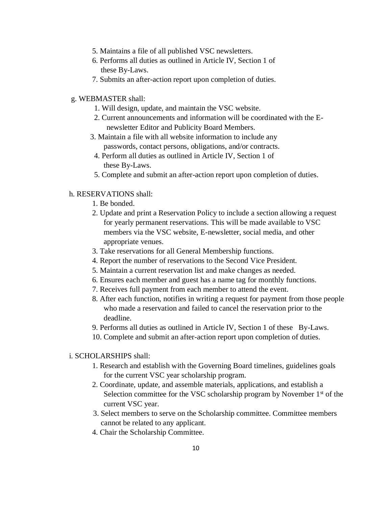- 5. Maintains a file of all published VSC newsletters.
- 6. Performs all duties as outlined in Article IV, Section 1 of these By-Laws.
- 7. Submits an after-action report upon completion of duties.
- g. WEBMASTER shall:
	- 1. Will design, update, and maintain the VSC website.
	- 2. Current announcements and information will be coordinated with the Enewsletter Editor and Publicity Board Members.
	- 3. Maintain a file with all website information to include any passwords, contact persons, obligations, and/or contracts.
	- 4. Perform all duties as outlined in Article IV, Section 1 of these By-Laws.
	- 5. Complete and submit an after-action report upon completion of duties.

### h. RESERVATIONS shall:

- 1. Be bonded.
- 2. Update and print a Reservation Policy to include a section allowing a request for yearly permanent reservations. This will be made available to VSC members via the VSC website, E-newsletter, social media, and other appropriate venues.
- 3. Take reservations for all General Membership functions.
- 4. Report the number of reservations to the Second Vice President.
- 5. Maintain a current reservation list and make changes as needed.
- 6. Ensures each member and guest has a name tag for monthly functions.
- 7. Receives full payment from each member to attend the event.
- 8. After each function, notifies in writing a request for payment from those people who made a reservation and failed to cancel the reservation prior to the deadline.
- 9. Performs all duties as outlined in Article IV, Section 1 of these By-Laws.
- 10. Complete and submit an after-action report upon completion of duties.
- i. SCHOLARSHIPS shall:
	- 1. Research and establish with the Governing Board timelines, guidelines goals for the current VSC year scholarship program.
	- 2. Coordinate, update, and assemble materials, applications, and establish a Selection committee for the VSC scholarship program by November  $1<sup>st</sup>$  of the current VSC year.
	- 3. Select members to serve on the Scholarship committee. Committee members cannot be related to any applicant.
	- 4. Chair the Scholarship Committee.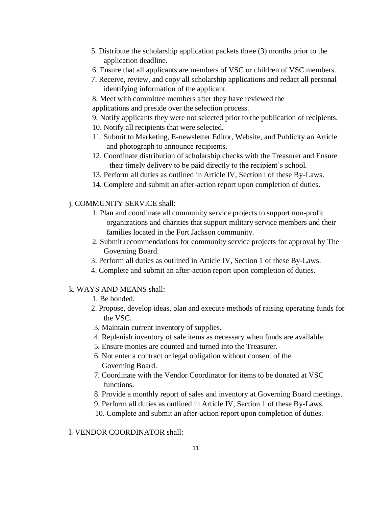- 5. Distribute the scholarship application packets three (3) months prior to the application deadline.
- 6. Ensure that all applicants are members of VSC or children of VSC members.
- 7. Receive, review, and copy all scholarship applications and redact all personal identifying information of the applicant.
- 8. Meet with committee members after they have reviewed the applications and preside over the selection process.
- 9. Notify applicants they were not selected prior to the publication of recipients.
- 10. Notify all recipients that were selected.
- 11. Submit to Marketing, E-newsletter Editor, Website, and Publicity an Article and photograph to announce recipients.
- 12. Coordinate distribution of scholarship checks with the Treasurer and Ensure their timely delivery to be paid directly to the recipient's school.
- 13. Perform all duties as outlined in Article IV, Section l of these By-Laws.
- 14. Complete and submit an after-action report upon completion of duties.

### j. COMMUNITY SERVICE shall:

- 1. Plan and coordinate all community service projects to support non-profit organizations and charities that support military service members and their families located in the Fort Jackson community.
- 2. Submit recommendations for community service projects for approval by The Governing Board.
- 3. Perform all duties as outlined in Article IV, Section 1 of these By-Laws.
- 4. Complete and submit an after-action report upon completion of duties.

### k. WAYS AND MEANS shall:

- 1. Be bonded.
- 2. Propose, develop ideas, plan and execute methods of raising operating funds for the VSC.
- 3. Maintain current inventory of supplies.
- 4. Replenish inventory of sale items as necessary when funds are available.
- 5. Ensure monies are counted and turned into the Treasurer.
- 6. Not enter a contract or legal obligation without consent of the Governing Board.
- 7. Coordinate with the Vendor Coordinator for items to be donated at VSC functions.
- 8. Provide a monthly report of sales and inventory at Governing Board meetings.
- 9. Perform all duties as outlined in Article IV, Section 1 of these By-Laws.
- 10. Complete and submit an after-action report upon completion of duties.

### l. VENDOR COORDINATOR shall: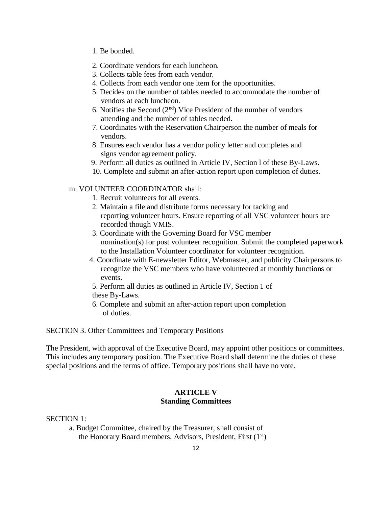- 1. Be bonded.
- 2. Coordinate vendors for each luncheon.
- 3. Collects table fees from each vendor.
- 4. Collects from each vendor one item for the opportunities.
- 5. Decides on the number of tables needed to accommodate the number of vendors at each luncheon.
- 6. Notifies the Second  $(2<sup>nd</sup>)$  Vice President of the number of vendors attending and the number of tables needed.
- 7. Coordinates with the Reservation Chairperson the number of meals for vendors.
- 8. Ensures each vendor has a vendor policy letter and completes and signs vendor agreement policy.
- 9. Perform all duties as outlined in Article IV, Section l of these By-Laws.
- 10. Complete and submit an after-action report upon completion of duties.

### m. VOLUNTEER COORDINATOR shall:

- 1. Recruit volunteers for all events.
- 2. Maintain a file and distribute forms necessary for tacking and reporting volunteer hours. Ensure reporting of all VSC volunteer hours are recorded though VMIS.
- 3. Coordinate with the Governing Board for VSC member nomination(s) for post volunteer recognition. Submit the completed paperwork to the Installation Volunteer coordinator for volunteer recognition.
- 4. Coordinate with E-newsletter Editor, Webmaster, and publicity Chairpersons to recognize the VSC members who have volunteered at monthly functions or events.
- 5. Perform all duties as outlined in Article IV, Section 1 of these By-Laws.
- 6. Complete and submit an after-action report upon completion of duties.

SECTION 3. Other Committees and Temporary Positions

The President, with approval of the Executive Board, may appoint other positions or committees. This includes any temporary position. The Executive Board shall determine the duties of these special positions and the terms of office. Temporary positions shall have no vote.

### **ARTICLE V Standing Committees**

SECTION 1:

a. Budget Committee, chaired by the Treasurer, shall consist of the Honorary Board members, Advisors, President, First (1st)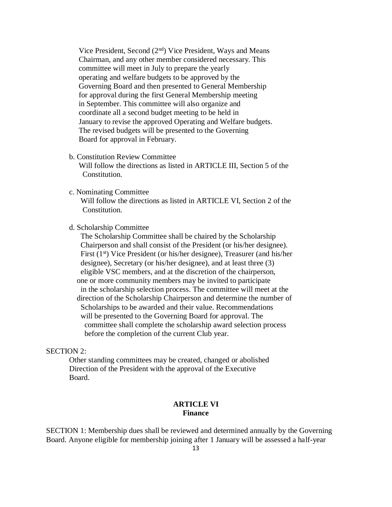Vice President, Second  $(2<sup>nd</sup>)$  Vice President, Ways and Means Chairman, and any other member considered necessary. This committee will meet in July to prepare the yearly operating and welfare budgets to be approved by the Governing Board and then presented to General Membership for approval during the first General Membership meeting in September. This committee will also organize and coordinate all a second budget meeting to be held in January to revise the approved Operating and Welfare budgets. The revised budgets will be presented to the Governing Board for approval in February.

#### b. Constitution Review Committee

 Will follow the directions as listed in ARTICLE III, Section 5 of the Constitution.

### c. Nominating Committee

 Will follow the directions as listed in ARTICLE VI, Section 2 of the Constitution.

#### d. Scholarship Committee

 The Scholarship Committee shall be chaired by the Scholarship Chairperson and shall consist of the President (or his/her designee). First (1<sup>st</sup>) Vice President (or his/her designee), Treasurer (and his/her designee), Secretary (or his/her designee), and at least three (3) eligible VSC members, and at the discretion of the chairperson, one or more community members may be invited to participate in the scholarship selection process. The committee will meet at the direction of the Scholarship Chairperson and determine the number of Scholarships to be awarded and their value. Recommendations will be presented to the Governing Board for approval. The committee shall complete the scholarship award selection process before the completion of the current Club year.

#### SECTION 2:

Other standing committees may be created, changed or abolished Direction of the President with the approval of the Executive Board.

### **ARTICLE VI Finance**

SECTION 1: Membership dues shall be reviewed and determined annually by the Governing Board. Anyone eligible for membership joining after 1 January will be assessed a half-year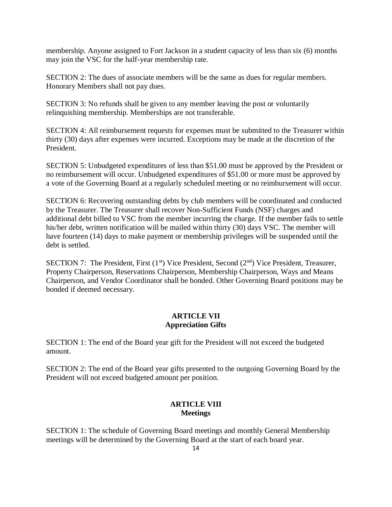membership. Anyone assigned to Fort Jackson in a student capacity of less than six (6) months may join the VSC for the half-year membership rate.

SECTION 2: The dues of associate members will be the same as dues for regular members. Honorary Members shall not pay dues.

SECTION 3: No refunds shall be given to any member leaving the post or voluntarily relinquishing membership. Memberships are not transferable.

SECTION 4: All reimbursement requests for expenses must be submitted to the Treasurer within thirty (30) days after expenses were incurred. Exceptions may be made at the discretion of the President.

SECTION 5: Unbudgeted expenditures of less than \$51.00 must be approved by the President or no reimbursement will occur. Unbudgeted expenditures of \$51.00 or more must be approved by a vote of the Governing Board at a regularly scheduled meeting or no reimbursement will occur.

SECTION 6: Recovering outstanding debts by club members will be coordinated and conducted by the Treasurer. The Treasurer shall recover Non-Sufficient Funds (NSF) charges and additional debt billed to VSC from the member incurring the charge. If the member fails to settle his/her debt, written notification will be mailed within thirty (30) days VSC. The member will have fourteen (14) days to make payment or membership privileges will be suspended until the debt is settled.

SECTION 7: The President, First (1st) Vice President, Second (2<sup>nd</sup>) Vice President, Treasurer, Property Chairperson, Reservations Chairperson, Membership Chairperson, Ways and Means Chairperson, and Vendor Coordinator shall be bonded. Other Governing Board positions may be bonded if deemed necessary.

### **ARTICLE VII Appreciation Gifts**

SECTION 1: The end of the Board year gift for the President will not exceed the budgeted amount.

SECTION 2: The end of the Board year gifts presented to the outgoing Governing Board by the President will not exceed budgeted amount per position.

## **ARTICLE VIII Meetings**

SECTION 1: The schedule of Governing Board meetings and monthly General Membership meetings will be determined by the Governing Board at the start of each board year.